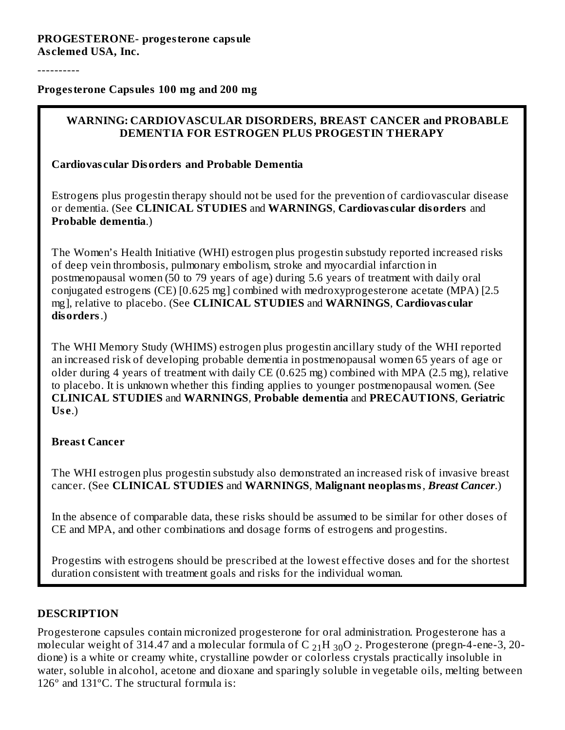#### **PROGESTERONE- progesterone capsule As clemed USA, Inc.**

----------

**Progesterone Capsules 100 mg and 200 mg**

#### **WARNING: CARDIOVASCULAR DISORDERS, BREAST CANCER and PROBABLE DEMENTIA FOR ESTROGEN PLUS PROGESTIN THERAPY**

#### **Cardiovas cular Disorders and Probable Dementia**

Estrogens plus progestin therapy should not be used for the prevention of cardiovascular disease or dementia. (See **CLINICAL STUDIES** and **WARNINGS**, **Cardiovas cular disorders** and **Probable dementia**.)

The Women's Health Initiative (WHI) estrogen plus progestin substudy reported increased risks of deep vein thrombosis, pulmonary embolism, stroke and myocardial infarction in postmenopausal women (50 to 79 years of age) during 5.6 years of treatment with daily oral conjugated estrogens (CE) [0.625 mg] combined with medroxyprogesterone acetate (MPA) [2.5 mg], relative to placebo. (See **CLINICAL STUDIES** and **WARNINGS**, **Cardiovas cular disorders**.)

The WHI Memory Study (WHIMS) estrogen plus progestin ancillary study of the WHI reported an increased risk of developing probable dementia in postmenopausal women 65 years of age or older during 4 years of treatment with daily CE (0.625 mg) combined with MPA (2.5 mg), relative to placebo. It is unknown whether this finding applies to younger postmenopausal women. (See **CLINICAL STUDIES** and **WARNINGS**, **Probable dementia** and **PRECAUTIONS**, **Geriatric Us e**.)

#### **Breast Cancer**

The WHI estrogen plus progestin substudy also demonstrated an increased risk of invasive breast cancer. (See **CLINICAL STUDIES** and **WARNINGS**, **Malignant neoplasms**, *Breast Cancer*.)

In the absence of comparable data, these risks should be assumed to be similar for other doses of CE and MPA, and other combinations and dosage forms of estrogens and progestins.

Progestins with estrogens should be prescribed at the lowest effective doses and for the shortest duration consistent with treatment goals and risks for the individual woman.

# **DESCRIPTION**

Progesterone capsules contain micronized progesterone for oral administration. Progesterone has a molecular weight of 314.47 and a molecular formula of C  $_{21}$ H  $_{30}$ O  $_{2}$ . Progesterone (pregn-4-ene-3, 20dione) is a white or creamy white, crystalline powder or colorless crystals practically insoluble in water, soluble in alcohol, acetone and dioxane and sparingly soluble in vegetable oils, melting between 126º and 131ºC. The structural formula is: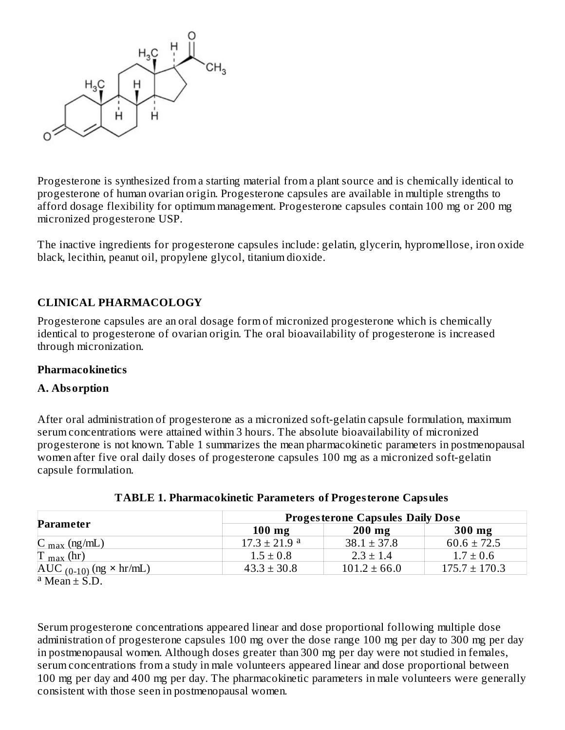

Progesterone is synthesized from a starting material from a plant source and is chemically identical to progesterone of human ovarian origin. Progesterone capsules are available in multiple strengths to afford dosage flexibility for optimum management. Progesterone capsules contain 100 mg or 200 mg micronized progesterone USP.

The inactive ingredients for progesterone capsules include: gelatin, glycerin, hypromellose, iron oxide black, lecithin, peanut oil, propylene glycol, titanium dioxide.

# **CLINICAL PHARMACOLOGY**

Progesterone capsules are an oral dosage form of micronized progesterone which is chemically identical to progesterone of ovarian origin. The oral bioavailability of progesterone is increased through micronization.

#### **Pharmacokinetics**

#### **A. Absorption**

After oral administration of progesterone as a micronized soft-gelatin capsule formulation, maximum serum concentrations were attained within 3 hours. The absolute bioavailability of micronized progesterone is not known. Table 1 summarizes the mean pharmacokinetic parameters in postmenopausal women after five oral daily doses of progesterone capsules 100 mg as a micronized soft-gelatin capsule formulation.

|                                    |                              | <b>Progesterone Capsules Daily Dose</b> |                   |
|------------------------------------|------------------------------|-----------------------------------------|-------------------|
| Parameter                          | $100$ mg                     | $200$ mg                                | $300$ mg          |
| $C_{\text{max}}$ (ng/mL)           | $17.3 \pm 21.9$ <sup>a</sup> | $38.1 \pm 37.8$                         | $60.6 \pm 72.5$   |
| $T_{\text{max}}$ (hr)              | $1.5 \pm 0.8$                | $2.3 \pm 1.4$                           | $1.7 \pm 0.6$     |
| $AUC_{(0-10)}$ (ng $\times$ hr/mL) | $43.3 \pm 30.8$              | $101.2 \pm 66.0$                        | $175.7 \pm 170.3$ |

#### **TABLE 1. Pharmacokinetic Parameters of Progesterone Capsules**

 $\overline{a}$  Mean  $\pm$  S.D.

Serum progesterone concentrations appeared linear and dose proportional following multiple dose administration of progesterone capsules 100 mg over the dose range 100 mg per day to 300 mg per day in postmenopausal women. Although doses greater than 300 mg per day were not studied in females, serum concentrations from a study in male volunteers appeared linear and dose proportional between 100 mg per day and 400 mg per day. The pharmacokinetic parameters in male volunteers were generally consistent with those seen in postmenopausal women.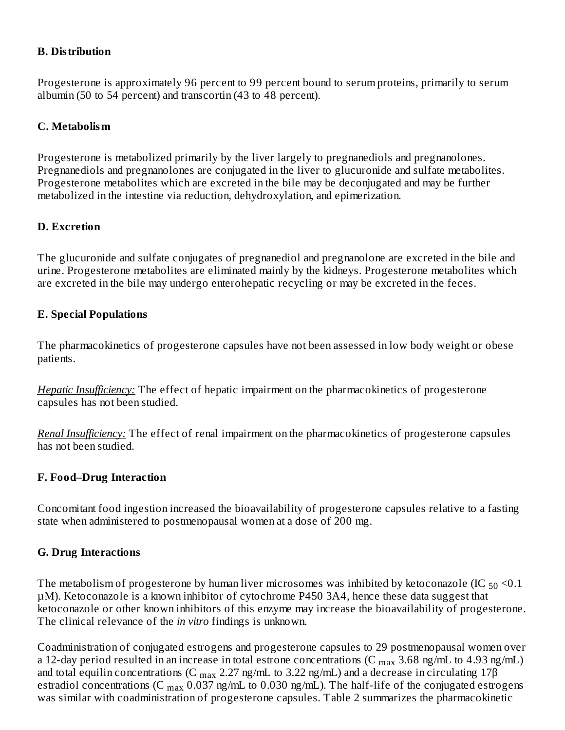#### **B. Distribution**

Progesterone is approximately 96 percent to 99 percent bound to serum proteins, primarily to serum albumin (50 to 54 percent) and transcortin (43 to 48 percent).

#### **C. Metabolism**

Progesterone is metabolized primarily by the liver largely to pregnanediols and pregnanolones. Pregnanediols and pregnanolones are conjugated in the liver to glucuronide and sulfate metabolites. Progesterone metabolites which are excreted in the bile may be deconjugated and may be further metabolized in the intestine via reduction, dehydroxylation, and epimerization.

#### **D. Excretion**

The glucuronide and sulfate conjugates of pregnanediol and pregnanolone are excreted in the bile and urine. Progesterone metabolites are eliminated mainly by the kidneys. Progesterone metabolites which are excreted in the bile may undergo enterohepatic recycling or may be excreted in the feces.

#### **E. Special Populations**

The pharmacokinetics of progesterone capsules have not been assessed in low body weight or obese patients.

*Hepatic Insufficiency:* The effect of hepatic impairment on the pharmacokinetics of progesterone capsules has not been studied.

*Renal Insufficiency:* The effect of renal impairment on the pharmacokinetics of progesterone capsules has not been studied.

#### **F. Food–Drug Interaction**

Concomitant food ingestion increased the bioavailability of progesterone capsules relative to a fasting state when administered to postmenopausal women at a dose of 200 mg.

# **G. Drug Interactions**

The metabolism of progesterone by human liver microsomes was inhibited by ketoconazole (IC  $_{50}$  <0.1  $\,$ µM). Ketoconazole is a known inhibitor of cytochrome P450 3A4, hence these data suggest that ketoconazole or other known inhibitors of this enzyme may increase the bioavailability of progesterone. The clinical relevance of the *in vitro* findings is unknown.

Coadministration of conjugated estrogens and progesterone capsules to 29 postmenopausal women over a 12-day period resulted in an increase in total estrone concentrations (C  $_{\rm max}$  3.68 ng/mL to 4.93 ng/mL) and total equilin concentrations (C  $_{\rm max}$  2.27 ng/mL to 3.22 ng/mL) and a decrease in circulating 17 $\beta$ estradiol concentrations (C  $_{\rm max}$  0.037 ng/mL to 0.030 ng/mL). The half-life of the conjugated estrogens was similar with coadministration of progesterone capsules. Table 2 summarizes the pharmacokinetic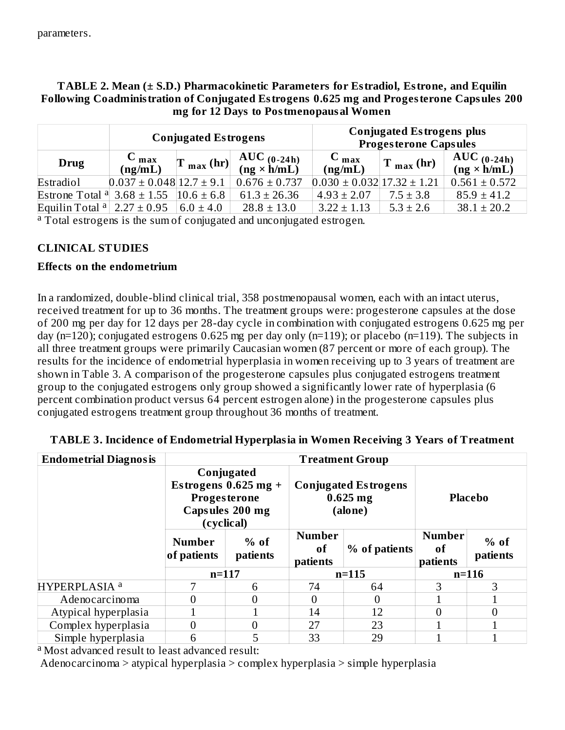# **TABLE 2. Mean (± S.D.) Pharmacokinetic Parameters for Estradiol, Estrone, and Equilin Following Coadministration of Conjugated Estrogens 0.625 mg and Progesterone Capsules 200 mg for 12 Days to Postmenopausal Women**

|                            |                                  | <b>Conjugated Estrogens</b>                                |                                     |                                    | <b>Conjugated Estrogens plus</b><br><b>Progesterone Capsules</b> |                                       |
|----------------------------|----------------------------------|------------------------------------------------------------|-------------------------------------|------------------------------------|------------------------------------------------------------------|---------------------------------------|
| Drug                       | $C_{max}$<br>(ng/mL)             | $\left  \Gamma_{\text{max}}\left(\text{hr}\right) \right $ | AUC $(0-24h)$<br>$(ng \times h/mL)$ | $C_{max}$<br>(ng/mL)               | $T_{max}$ (hr)                                                   | $AUC_{(0-24h)}$<br>$(ng \times h/mL)$ |
| Estradiol                  | $0.037 \pm 0.048$ 12.7 $\pm$ 9.1 |                                                            | $0.676 \pm 0.737$                   | $0.030 \pm 0.032$ 17.32 $\pm$ 1.21 |                                                                  | $0.561 \pm 0.572$                     |
| Estrone Total <sup>a</sup> | $3.68 \pm 1.55$                  | $10.6 \pm 6.8$                                             | $61.3 \pm 26.36$                    | $4.93 \pm 2.07$                    | $7.5 \pm 3.8$                                                    | $85.9 \pm 41.2$                       |
| Equilin Total $a$          | $2.27 \pm 0.95$                  | $6.0 \pm 4.0$                                              | $28.8 \pm 13.0$                     | $3.22 \pm 1.13$                    | $5.3 \pm 2.6$                                                    | $38.1 \pm 20.2$                       |

<sup>a</sup> Total estrogens is the sum of conjugated and unconjugated estrogen.

# **CLINICAL STUDIES**

#### **Effects on the endometrium**

In a randomized, double-blind clinical trial, 358 postmenopausal women, each with an intact uterus, received treatment for up to 36 months. The treatment groups were: progesterone capsules at the dose of 200 mg per day for 12 days per 28-day cycle in combination with conjugated estrogens 0.625 mg per day (n=120); conjugated estrogens 0.625 mg per day only (n=119); or placebo (n=119). The subjects in all three treatment groups were primarily Caucasian women (87 percent or more of each group). The results for the incidence of endometrial hyperplasia in women receiving up to 3 years of treatment are shown in Table 3. A comparison of the progesterone capsules plus conjugated estrogens treatment group to the conjugated estrogens only group showed a significantly lower rate of hyperplasia (6 percent combination product versus 64 percent estrogen alone) in the progesterone capsules plus conjugated estrogens treatment group throughout 36 months of treatment.

| <b>Endometrial Diagnosis</b> |                              |                                                                       |                                            | <b>Treatment Group</b>                               |                                            |                    |
|------------------------------|------------------------------|-----------------------------------------------------------------------|--------------------------------------------|------------------------------------------------------|--------------------------------------------|--------------------|
|                              | <b>Progesterone</b>          | Conjugated<br>Estrogens $0.625$ mg +<br>Capsules 200 mg<br>(cyclical) |                                            | <b>Conjugated Estrogens</b><br>$0.625$ mg<br>(alone) |                                            | <b>Placebo</b>     |
|                              | <b>Number</b><br>of patients | $%$ of<br>patients                                                    | <b>Number</b><br><sub>of</sub><br>patients | $%$ of patients                                      | <b>Number</b><br><sub>of</sub><br>patients | $%$ of<br>patients |
|                              | $n = 117$                    |                                                                       |                                            | $n = 115$                                            |                                            | $n = 116$          |
| HYPERPLASIA <sup>a</sup>     |                              | 6                                                                     | 74                                         | 64                                                   | 3                                          | 3                  |
| Adenocarcinoma               |                              |                                                                       | $\theta$                                   | $\Omega$                                             |                                            |                    |
| Atypical hyperplasia         |                              |                                                                       | 14                                         | 12                                                   |                                            |                    |
| Complex hyperplasia          |                              |                                                                       | 27                                         | 23                                                   |                                            |                    |
| Simple hyperplasia           | 6                            |                                                                       | 33                                         | 29                                                   |                                            |                    |

#### **TABLE 3. Incidence of Endometrial Hyperplasia in Women Receiving 3 Years of Treatment**

<sup>a</sup> Most advanced result to least advanced result:

Adenocarcinoma > atypical hyperplasia > complex hyperplasia > simple hyperplasia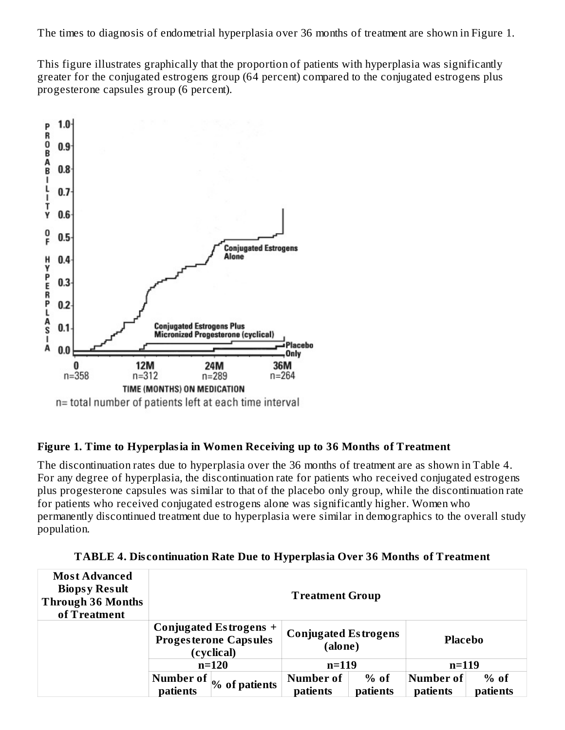The times to diagnosis of endometrial hyperplasia over 36 months of treatment are shown in Figure 1.

This figure illustrates graphically that the proportion of patients with hyperplasia was significantly greater for the conjugated estrogens group (64 percent) compared to the conjugated estrogens plus progesterone capsules group (6 percent).



# **Figure 1. Time to Hyperplasia in Women Receiving up to 36 Months of Treatment**

The discontinuation rates due to hyperplasia over the 36 months of treatment are as shown in Table 4. For any degree of hyperplasia, the discontinuation rate for patients who received conjugated estrogens plus progesterone capsules was similar to that of the placebo only group, while the discontinuation rate for patients who received conjugated estrogens alone was significantly higher. Women who permanently discontinued treatment due to hyperplasia were similar in demographics to the overall study population.

| <b>Most Advanced</b><br><b>Biopsy Result</b><br><b>Through 36 Months</b><br>of Treatment |                                                                      | <b>Treatment Group</b>                 |          |                |          |
|------------------------------------------------------------------------------------------|----------------------------------------------------------------------|----------------------------------------|----------|----------------|----------|
|                                                                                          | Conjugated Estrogens +<br><b>Progesterone Capsules</b><br>(cyclical) | <b>Conjugated Estrogens</b><br>(alone) |          | <b>Placebo</b> |          |
|                                                                                          | $n=120$                                                              | $n = 119$                              |          | $n = 119$      |          |
|                                                                                          | Number of<br>% of patients                                           | Number of                              | $%$ of   | Number of      | $%$ of   |
|                                                                                          | patients                                                             | patients                               | patients | patients       | patients |

**TABLE 4. Dis continuation Rate Due to Hyperplasia Over 36 Months of Treatment**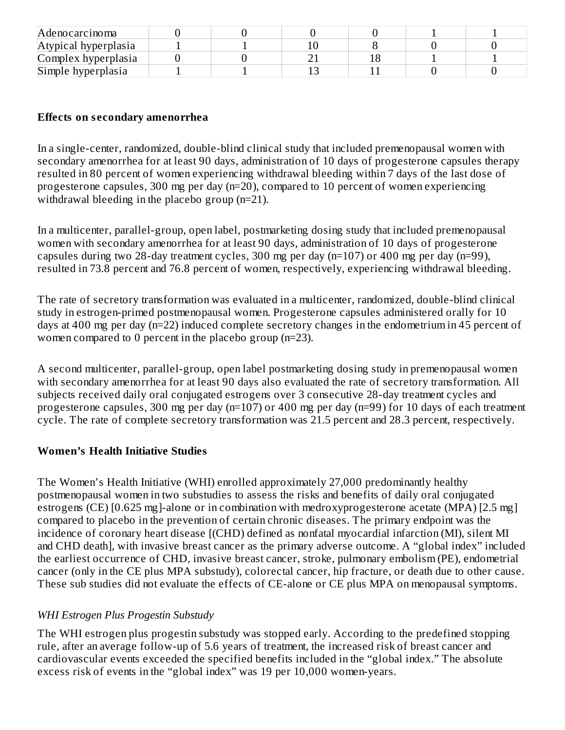| Adenocarcinoma       |  |  |  |
|----------------------|--|--|--|
| Atypical hyperplasia |  |  |  |
| Complex hyperplasia  |  |  |  |
| Simple hyperplasia   |  |  |  |

# **Effects on s econdary amenorrhea**

In a single-center, randomized, double-blind clinical study that included premenopausal women with secondary amenorrhea for at least 90 days, administration of 10 days of progesterone capsules therapy resulted in 80 percent of women experiencing withdrawal bleeding within 7 days of the last dose of progesterone capsules, 300 mg per day (n=20), compared to 10 percent of women experiencing withdrawal bleeding in the placebo group (n=21).

In a multicenter, parallel-group, open label, postmarketing dosing study that included premenopausal women with secondary amenorrhea for at least 90 days, administration of 10 days of progesterone capsules during two 28-day treatment cycles, 300 mg per day (n=107) or 400 mg per day (n=99), resulted in 73.8 percent and 76.8 percent of women, respectively, experiencing withdrawal bleeding.

The rate of secretory transformation was evaluated in a multicenter, randomized, double-blind clinical study in estrogen-primed postmenopausal women. Progesterone capsules administered orally for 10 days at 400 mg per day (n=22) induced complete secretory changes in the endometrium in 45 percent of women compared to 0 percent in the placebo group (n=23).

A second multicenter, parallel-group, open label postmarketing dosing study in premenopausal women with secondary amenorrhea for at least 90 days also evaluated the rate of secretory transformation. All subjects received daily oral conjugated estrogens over 3 consecutive 28-day treatment cycles and progesterone capsules, 300 mg per day (n=107) or 400 mg per day (n=99) for 10 days of each treatment cycle. The rate of complete secretory transformation was 21.5 percent and 28.3 percent, respectively.

# **Women's Health Initiative Studies**

The Women's Health Initiative (WHI) enrolled approximately 27,000 predominantly healthy postmenopausal women in two substudies to assess the risks and benefits of daily oral conjugated estrogens (CE) [0.625 mg]-alone or in combination with medroxyprogesterone acetate (MPA) [2.5 mg] compared to placebo in the prevention of certain chronic diseases. The primary endpoint was the incidence of coronary heart disease [(CHD) defined as nonfatal myocardial infarction (MI), silent MI and CHD death], with invasive breast cancer as the primary adverse outcome. A "global index" included the earliest occurrence of CHD, invasive breast cancer, stroke, pulmonary embolism (PE), endometrial cancer (only in the CE plus MPA substudy), colorectal cancer, hip fracture, or death due to other cause. These sub studies did not evaluate the effects of CE-alone or CE plus MPA on menopausal symptoms.

# *WHI Estrogen Plus Progestin Substudy*

The WHI estrogen plus progestin substudy was stopped early. According to the predefined stopping rule, after an average follow-up of 5.6 years of treatment, the increased risk of breast cancer and cardiovascular events exceeded the specified benefits included in the "global index." The absolute excess risk of events in the "global index" was 19 per 10,000 women-years.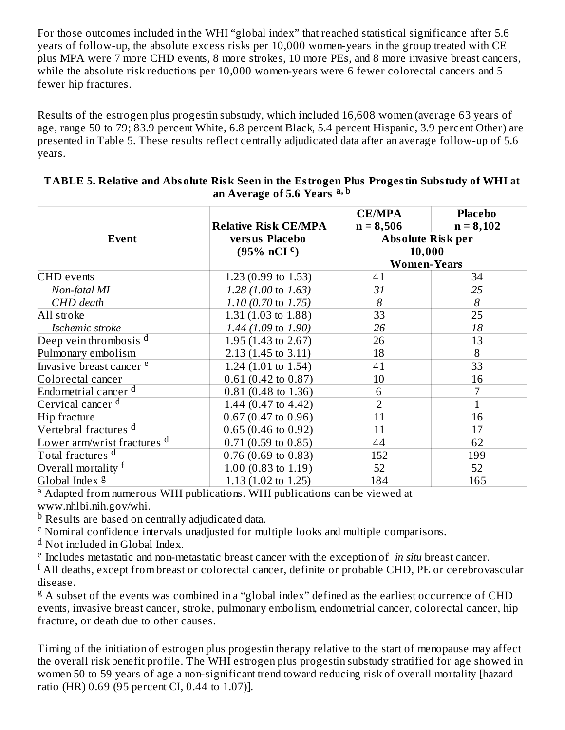For those outcomes included in the WHI "global index" that reached statistical significance after 5.6 years of follow-up, the absolute excess risks per 10,000 women-years in the group treated with CE plus MPA were 7 more CHD events, 8 more strokes, 10 more PEs, and 8 more invasive breast cancers, while the absolute risk reductions per 10,000 women-years were 6 fewer colorectal cancers and 5 fewer hip fractures.

Results of the estrogen plus progestin substudy, which included 16,608 women (average 63 years of age, range 50 to 79; 83.9 percent White, 6.8 percent Black, 5.4 percent Hispanic, 3.9 percent Other) are presented in Table 5. These results reflect centrally adjudicated data after an average follow-up of 5.6 years.

|                                        |                                | <b>CE/MPA</b>            | <b>Placebo</b> |
|----------------------------------------|--------------------------------|--------------------------|----------------|
|                                        | <b>Relative Risk CE/MPA</b>    | $n = 8,506$              | $n = 8,102$    |
| Event                                  | versus Placebo                 | <b>Absolute Risk per</b> |                |
|                                        | $(95\% \, nCI^c)$              | 10,000                   |                |
|                                        |                                | <b>Women-Years</b>       |                |
| <b>CHD</b> events                      | 1.23 $(0.99 \text{ to } 1.53)$ | 41                       | 34             |
| Non-fatal MI                           | $1.28(1.00 \text{ to } 1.63)$  | 31                       | 25             |
| CHD death                              | 1.10 (0.70 to 1.75)            | 8                        | 8              |
| All stroke                             | 1.31 $(1.03 \text{ to } 1.88)$ | 33                       | 25             |
| Ischemic stroke                        | 1.44 (1.09 to 1.90)            | 26                       | 18             |
| Deep vein thrombosis <sup>d</sup>      | 1.95 $(1.43 \text{ to } 2.67)$ | 26                       | 13             |
| Pulmonary embolism                     | $2.13(1.45 \text{ to } 3.11)$  | 18                       | 8              |
| Invasive breast cancer <sup>e</sup>    | 1.24 $(1.01 \text{ to } 1.54)$ | 41                       | 33             |
| Colorectal cancer                      | $0.61(0.42 \text{ to } 0.87)$  | 10                       | 16             |
| Endometrial cancer <sup>d</sup>        | $0.81(0.48 \text{ to } 1.36)$  | 6                        | 7              |
| Cervical cancer <sup>d</sup>           | 1.44 $(0.47 \text{ to } 4.42)$ | 2                        |                |
| Hip fracture                           | $0.67(0.47 \text{ to } 0.96)$  | 11                       | 16             |
| Vertebral fractures <sup>d</sup>       | $0.65(0.46 \text{ to } 0.92)$  | 11                       | 17             |
| Lower arm/wrist fractures <sup>d</sup> | $0.71(0.59 \text{ to } 0.85)$  | 44                       | 62             |
| Total fractures <sup>d</sup>           | $0.76$ (0.69 to 0.83)          | 152                      | 199            |
| Overall mortality f                    | 1.00 $(0.83 \text{ to } 1.19)$ | 52                       | 52             |
| Global Index <sup>g</sup>              | 1.13 $(1.02 \text{ to } 1.25)$ | 184                      | 165            |

#### **TABLE 5. Relative and Absolute Risk Seen in the Estrogen Plus Progestin Substudy of WHI at an Average of 5.6 Years a, b**

<sup>a</sup> Adapted from numerous WHI publications. WHI publications can be viewed at www.nhlbi.nih.gov/whi.

**b** Results are based on centrally adjudicated data.

<sup>c</sup> Nominal confidence intervals unadjusted for multiple looks and multiple comparisons.

<sup>d</sup> Not included in Global Index.

<sup>e</sup> Includes metastatic and non-metastatic breast cancer with the exception of *in situ* breast cancer.

 $^{\rm f}$  All deaths, except from breast or colorectal cancer, definite or probable CHD, PE or cerebrovascular disease.

<sup>g</sup> A subset of the events was combined in a "global index" defined as the earliest occurrence of CHD events, invasive breast cancer, stroke, pulmonary embolism, endometrial cancer, colorectal cancer, hip fracture, or death due to other causes.

Timing of the initiation of estrogen plus progestin therapy relative to the start of menopause may affect the overall risk benefit profile. The WHI estrogen plus progestin substudy stratified for age showed in women 50 to 59 years of age a non-significant trend toward reducing risk of overall mortality [hazard ratio (HR) 0.69 (95 percent CI, 0.44 to 1.07)].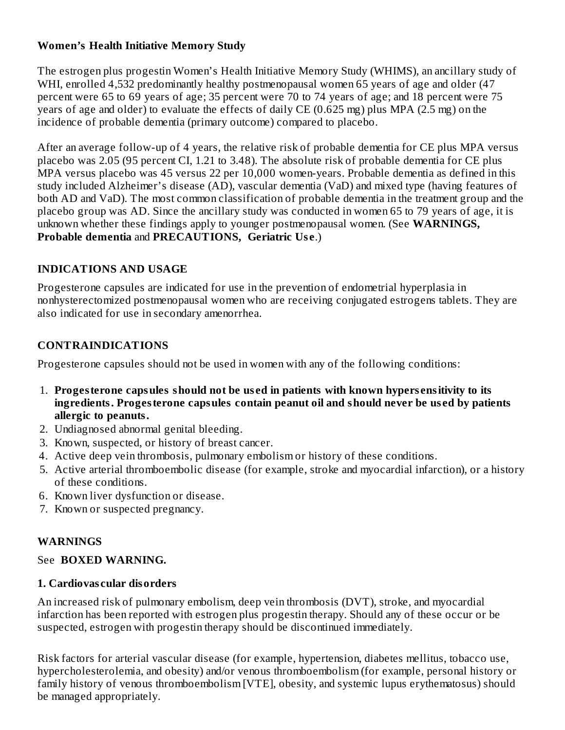# **Women's Health Initiative Memory Study**

The estrogen plus progestin Women's Health Initiative Memory Study (WHIMS), an ancillary study of WHI, enrolled 4,532 predominantly healthy postmenopausal women 65 years of age and older (47 percent were 65 to 69 years of age; 35 percent were 70 to 74 years of age; and 18 percent were 75 years of age and older) to evaluate the effects of daily CE (0.625 mg) plus MPA (2.5 mg) on the incidence of probable dementia (primary outcome) compared to placebo.

After an average follow-up of 4 years, the relative risk of probable dementia for CE plus MPA versus placebo was 2.05 (95 percent CI, 1.21 to 3.48). The absolute risk of probable dementia for CE plus MPA versus placebo was 45 versus 22 per 10,000 women-years. Probable dementia as defined in this study included Alzheimer's disease (AD), vascular dementia (VaD) and mixed type (having features of both AD and VaD). The most common classification of probable dementia in the treatment group and the placebo group was AD. Since the ancillary study was conducted in women 65 to 79 years of age, it is unknown whether these findings apply to younger postmenopausal women. (See **WARNINGS, Probable dementia** and **PRECAUTIONS, Geriatric Us e**.)

# **INDICATIONS AND USAGE**

Progesterone capsules are indicated for use in the prevention of endometrial hyperplasia in nonhysterectomized postmenopausal women who are receiving conjugated estrogens tablets. They are also indicated for use in secondary amenorrhea.

# **CONTRAINDICATIONS**

Progesterone capsules should not be used in women with any of the following conditions:

- 1. **Progesterone capsules should not be us ed in patients with known hypers ensitivity to its ingredients. Progesterone capsules contain peanut oil and should never be us ed by patients allergic to peanuts.**
- 2. Undiagnosed abnormal genital bleeding.
- 3. Known, suspected, or history of breast cancer.
- 4. Active deep vein thrombosis, pulmonary embolism or history of these conditions.
- 5. Active arterial thromboembolic disease (for example, stroke and myocardial infarction), or a history of these conditions.
- 6. Known liver dysfunction or disease.
- 7. Known or suspected pregnancy.

# **WARNINGS**

# See **BOXED WARNING.**

# **1. Cardiovas cular disorders**

An increased risk of pulmonary embolism, deep vein thrombosis (DVT), stroke, and myocardial infarction has been reported with estrogen plus progestin therapy. Should any of these occur or be suspected, estrogen with progestin therapy should be discontinued immediately.

Risk factors for arterial vascular disease (for example, hypertension, diabetes mellitus, tobacco use, hypercholesterolemia, and obesity) and/or venous thromboembolism (for example, personal history or family history of venous thromboembolism [VTE], obesity, and systemic lupus erythematosus) should be managed appropriately.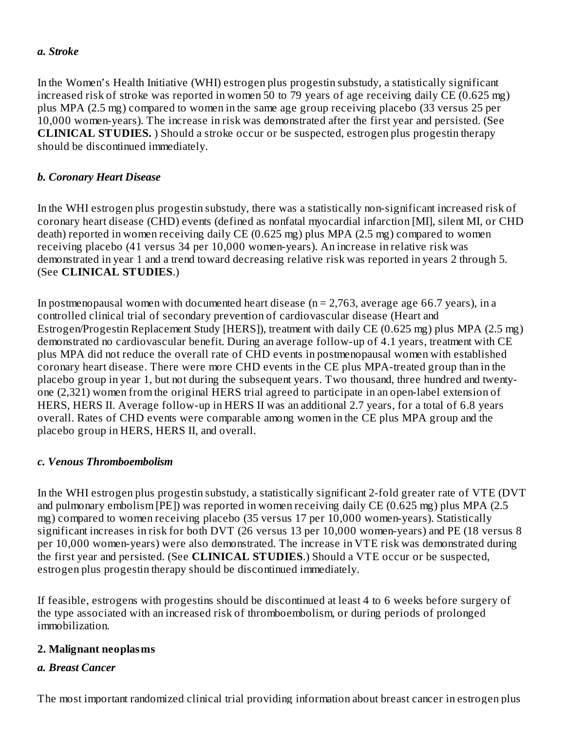#### *a. Stroke*

In the Women's Health Initiative (WHI) estrogen plus progestin substudy, a statistically significant increased risk of stroke was reported in women 50 to 79 years of age receiving daily CE (0.625 mg) plus MPA (2.5 mg) compared to women in the same age group receiving placebo (33 versus 25 per 10,000 women-years). The increase in risk was demonstrated after the first year and persisted. (See **CLINICAL STUDIES.** ) Should a stroke occur or be suspected, estrogen plus progestin therapy should be discontinued immediately.

#### *b. Coronary Heart Disease*

In the WHI estrogen plus progestin substudy, there was a statistically non-significant increased risk of coronary heart disease (CHD) events (defined as nonfatal myocardial infarction [MI], silent MI, or CHD death) reported in women receiving daily CE (0.625 mg) plus MPA (2.5 mg) compared to women receiving placebo (41 versus 34 per 10,000 women-years). An increase in relative risk was demonstrated in year 1 and a trend toward decreasing relative risk was reported in years 2 through 5. (See **CLINICAL STUDIES**.)

In postmenopausal women with documented heart disease ( $n = 2,763$ , average age 66.7 years), in a controlled clinical trial of secondary prevention of cardiovascular disease (Heart and Estrogen/Progestin Replacement Study [HERS]), treatment with daily CE (0.625 mg) plus MPA (2.5 mg) demonstrated no cardiovascular benefit. During an average follow-up of 4.1 years, treatment with CE plus MPA did not reduce the overall rate of CHD events in postmenopausal women with established coronary heart disease. There were more CHD events in the CE plus MPA-treated group than in the placebo group in year 1, but not during the subsequent years. Two thousand, three hundred and twentyone (2,321) women from the original HERS trial agreed to participate in an open-label extension of HERS, HERS II. Average follow-up in HERS II was an additional 2.7 years, for a total of 6.8 years overall. Rates of CHD events were comparable among women in the CE plus MPA group and the placebo group in HERS, HERS II, and overall.

#### *c. Venous Thromboembolism*

In the WHI estrogen plus progestin substudy, a statistically significant 2-fold greater rate of VTE (DVT and pulmonary embolism [PE]) was reported in women receiving daily CE (0.625 mg) plus MPA (2.5 mg) compared to women receiving placebo (35 versus 17 per 10,000 women-years). Statistically significant increases in risk for both DVT (26 versus 13 per 10,000 women-years) and PE (18 versus 8 per 10,000 women-years) were also demonstrated. The increase in VTE risk was demonstrated during the first year and persisted. (See **CLINICAL STUDIES**.) Should a VTE occur or be suspected, estrogen plus progestin therapy should be discontinued immediately.

If feasible, estrogens with progestins should be discontinued at least 4 to 6 weeks before surgery of the type associated with an increased risk of thromboembolism, or during periods of prolonged immobilization.

#### **2. Malignant neoplasms**

# *a. Breast Cancer*

The most important randomized clinical trial providing information about breast cancer in estrogen plus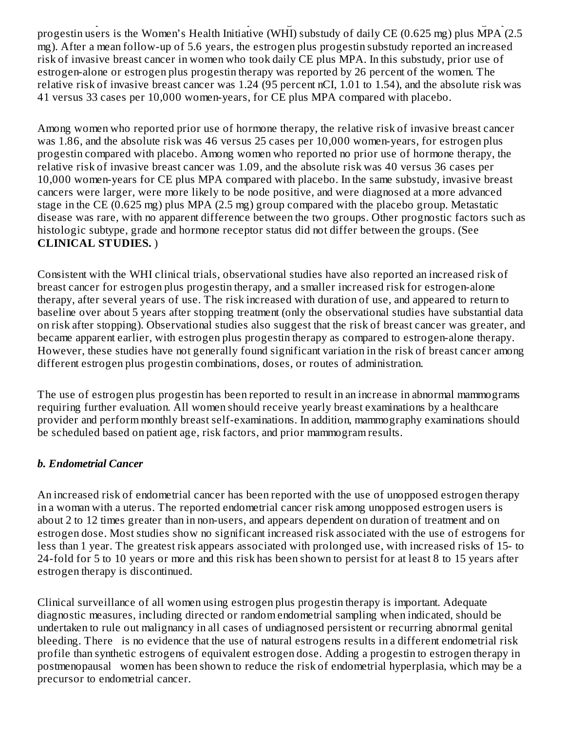The most important randomized clinical trial providing information about breast cancer in estrogen plus progestin users is the Women's Health Initiative (WHI) substudy of daily CE (0.625 mg) plus MPA (2.5 mg). After a mean follow-up of 5.6 years, the estrogen plus progestin substudy reported an increased risk of invasive breast cancer in women who took daily CE plus MPA. In this substudy, prior use of estrogen-alone or estrogen plus progestin therapy was reported by 26 percent of the women. The relative risk of invasive breast cancer was 1.24 (95 percent nCI, 1.01 to 1.54), and the absolute risk was 41 versus 33 cases per 10,000 women-years, for CE plus MPA compared with placebo.

Among women who reported prior use of hormone therapy, the relative risk of invasive breast cancer was 1.86, and the absolute risk was 46 versus 25 cases per 10,000 women-years, for estrogen plus progestin compared with placebo. Among women who reported no prior use of hormone therapy, the relative risk of invasive breast cancer was 1.09, and the absolute risk was 40 versus 36 cases per 10,000 women-years for CE plus MPA compared with placebo. In the same substudy, invasive breast cancers were larger, were more likely to be node positive, and were diagnosed at a more advanced stage in the CE (0.625 mg) plus MPA (2.5 mg) group compared with the placebo group. Metastatic disease was rare, with no apparent difference between the two groups. Other prognostic factors such as histologic subtype, grade and hormone receptor status did not differ between the groups. (See **CLINICAL STUDIES.** )

Consistent with the WHI clinical trials, observational studies have also reported an increased risk of breast cancer for estrogen plus progestin therapy, and a smaller increased risk for estrogen-alone therapy, after several years of use. The risk increased with duration of use, and appeared to return to baseline over about 5 years after stopping treatment (only the observational studies have substantial data on risk after stopping). Observational studies also suggest that the risk of breast cancer was greater, and became apparent earlier, with estrogen plus progestin therapy as compared to estrogen-alone therapy. However, these studies have not generally found significant variation in the risk of breast cancer among different estrogen plus progestin combinations, doses, or routes of administration.

The use of estrogen plus progestin has been reported to result in an increase in abnormal mammograms requiring further evaluation. All women should receive yearly breast examinations by a healthcare provider and perform monthly breast self-examinations. In addition, mammography examinations should be scheduled based on patient age, risk factors, and prior mammogram results.

# *b. Endometrial Cancer*

An increased risk of endometrial cancer has been reported with the use of unopposed estrogen therapy in a woman with a uterus. The reported endometrial cancer risk among unopposed estrogen users is about 2 to 12 times greater than in non-users, and appears dependent on duration of treatment and on estrogen dose. Most studies show no significant increased risk associated with the use of estrogens for less than 1 year. The greatest risk appears associated with prolonged use, with increased risks of 15- to 24-fold for 5 to 10 years or more and this risk has been shown to persist for at least 8 to 15 years after estrogen therapy is discontinued.

Clinical surveillance of all women using estrogen plus progestin therapy is important. Adequate diagnostic measures, including directed or random endometrial sampling when indicated, should be undertaken to rule out malignancy in all cases of undiagnosed persistent or recurring abnormal genital bleeding. There is no evidence that the use of natural estrogens results in a different endometrial risk profile than synthetic estrogens of equivalent estrogen dose. Adding a progestin to estrogen therapy in postmenopausal women has been shown to reduce the risk of endometrial hyperplasia, which may be a precursor to endometrial cancer.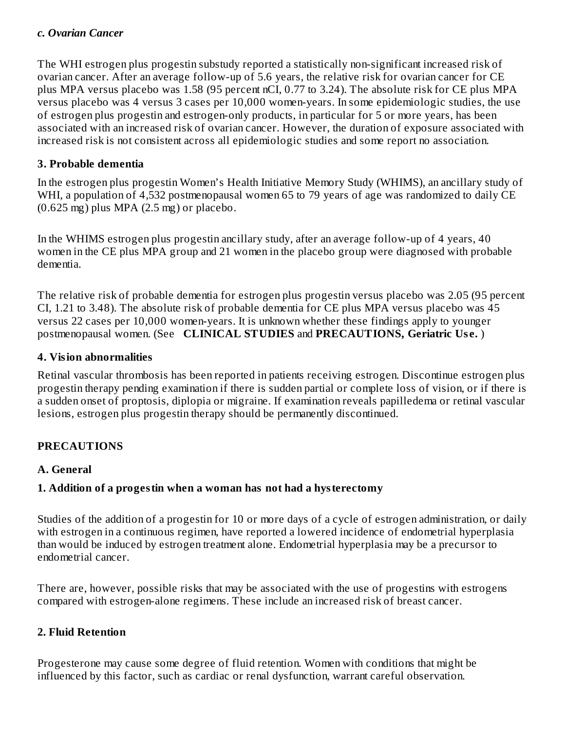#### *c. Ovarian Cancer*

The WHI estrogen plus progestin substudy reported a statistically non-significant increased risk of ovarian cancer. After an average follow-up of 5.6 years, the relative risk for ovarian cancer for CE plus MPA versus placebo was 1.58 (95 percent nCI, 0.77 to 3.24). The absolute risk for CE plus MPA versus placebo was 4 versus 3 cases per 10,000 women-years. In some epidemiologic studies, the use of estrogen plus progestin and estrogen-only products, in particular for 5 or more years, has been associated with an increased risk of ovarian cancer. However, the duration of exposure associated with increased risk is not consistent across all epidemiologic studies and some report no association.

#### **3. Probable dementia**

In the estrogen plus progestin Women's Health Initiative Memory Study (WHIMS), an ancillary study of WHI, a population of 4,532 postmenopausal women 65 to 79 years of age was randomized to daily CE  $(0.625 \text{ mg})$  plus MPA  $(2.5 \text{ mg})$  or placebo.

In the WHIMS estrogen plus progestin ancillary study, after an average follow-up of 4 years, 40 women in the CE plus MPA group and 21 women in the placebo group were diagnosed with probable dementia.

The relative risk of probable dementia for estrogen plus progestin versus placebo was 2.05 (95 percent CI, 1.21 to 3.48). The absolute risk of probable dementia for CE plus MPA versus placebo was 45 versus 22 cases per 10,000 women-years. It is unknown whether these findings apply to younger postmenopausal women. (See **CLINICAL STUDIES** and **PRECAUTIONS, Geriatric Us e.** )

#### **4. Vision abnormalities**

Retinal vascular thrombosis has been reported in patients receiving estrogen. Discontinue estrogen plus progestin therapy pending examination if there is sudden partial or complete loss of vision, or if there is a sudden onset of proptosis, diplopia or migraine. If examination reveals papilledema or retinal vascular lesions, estrogen plus progestin therapy should be permanently discontinued.

# **PRECAUTIONS**

# **A. General**

# **1. Addition of a progestin when a woman has not had a hysterectomy**

Studies of the addition of a progestin for 10 or more days of a cycle of estrogen administration, or daily with estrogen in a continuous regimen, have reported a lowered incidence of endometrial hyperplasia than would be induced by estrogen treatment alone. Endometrial hyperplasia may be a precursor to endometrial cancer.

There are, however, possible risks that may be associated with the use of progestins with estrogens compared with estrogen-alone regimens. These include an increased risk of breast cancer.

# **2. Fluid Retention**

Progesterone may cause some degree of fluid retention. Women with conditions that might be influenced by this factor, such as cardiac or renal dysfunction, warrant careful observation.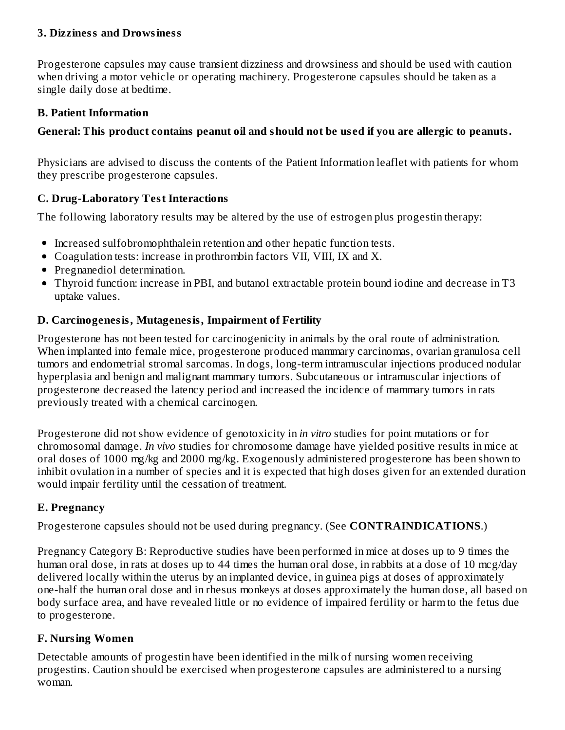# **3. Dizziness and Drowsiness**

Progesterone capsules may cause transient dizziness and drowsiness and should be used with caution when driving a motor vehicle or operating machinery. Progesterone capsules should be taken as a single daily dose at bedtime.

#### **B. Patient Information**

# **General: This product contains peanut oil and should not be us ed if you are allergic to peanuts.**

Physicians are advised to discuss the contents of the Patient Information leaflet with patients for whom they prescribe progesterone capsules.

# **C. Drug-Laboratory Test Interactions**

The following laboratory results may be altered by the use of estrogen plus progestin therapy:

- Increased sulfobromophthalein retention and other hepatic function tests.
- Coagulation tests: increase in prothrombin factors VII, VIII, IX and X.
- Pregnanediol determination.
- Thyroid function: increase in PBI, and butanol extractable protein bound iodine and decrease in T3 uptake values.

# **D. Carcinogenesis, Mutagenesis, Impairment of Fertility**

Progesterone has not been tested for carcinogenicity in animals by the oral route of administration. When implanted into female mice, progesterone produced mammary carcinomas, ovarian granulosa cell tumors and endometrial stromal sarcomas. In dogs, long-term intramuscular injections produced nodular hyperplasia and benign and malignant mammary tumors. Subcutaneous or intramuscular injections of progesterone decreased the latency period and increased the incidence of mammary tumors in rats previously treated with a chemical carcinogen.

Progesterone did not show evidence of genotoxicity in *in vitro* studies for point mutations or for chromosomal damage. *In vivo* studies for chromosome damage have yielded positive results in mice at oral doses of 1000 mg/kg and 2000 mg/kg. Exogenously administered progesterone has been shown to inhibit ovulation in a number of species and it is expected that high doses given for an extended duration would impair fertility until the cessation of treatment.

# **E. Pregnancy**

Progesterone capsules should not be used during pregnancy. (See **CONTRAINDICATIONS**.)

Pregnancy Category B: Reproductive studies have been performed in mice at doses up to 9 times the human oral dose, in rats at doses up to 44 times the human oral dose, in rabbits at a dose of 10 mcg/day delivered locally within the uterus by an implanted device, in guinea pigs at doses of approximately one-half the human oral dose and in rhesus monkeys at doses approximately the human dose, all based on body surface area, and have revealed little or no evidence of impaired fertility or harm to the fetus due to progesterone.

# **F. Nursing Women**

Detectable amounts of progestin have been identified in the milk of nursing women receiving progestins. Caution should be exercised when progesterone capsules are administered to a nursing woman.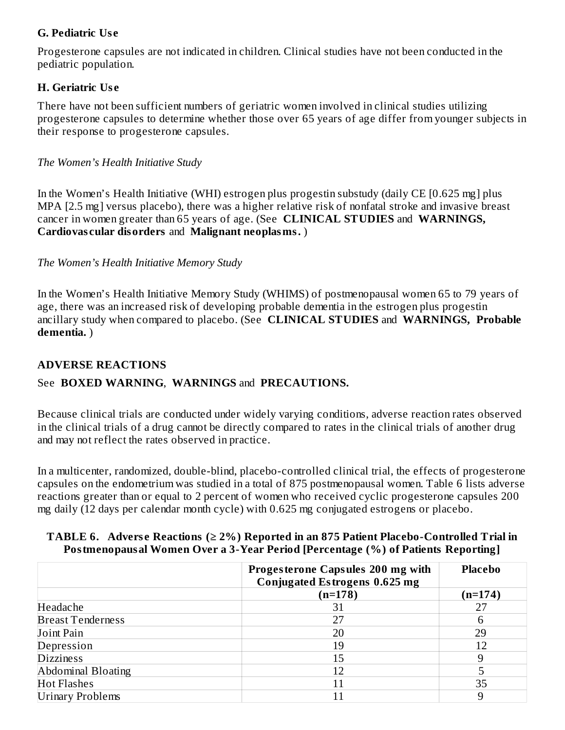# **G. Pediatric Us e**

Progesterone capsules are not indicated in children. Clinical studies have not been conducted in the pediatric population.

# **H. Geriatric Us e**

There have not been sufficient numbers of geriatric women involved in clinical studies utilizing progesterone capsules to determine whether those over 65 years of age differ from younger subjects in their response to progesterone capsules.

# *The Women's Health Initiative Study*

In the Women's Health Initiative (WHI) estrogen plus progestin substudy (daily CE [0.625 mg] plus MPA [2.5 mg] versus placebo), there was a higher relative risk of nonfatal stroke and invasive breast cancer in women greater than 65 years of age. (See **CLINICAL STUDIES** and **WARNINGS, Cardiovas cular disorders** and **Malignant neoplasms.** )

*The Women's Health Initiative Memory Study*

In the Women's Health Initiative Memory Study (WHIMS) of postmenopausal women 65 to 79 years of age, there was an increased risk of developing probable dementia in the estrogen plus progestin ancillary study when compared to placebo. (See **CLINICAL STUDIES** and **WARNINGS, Probable dementia.** )

# **ADVERSE REACTIONS**

# See **BOXED WARNING**, **WARNINGS** and **PRECAUTIONS.**

Because clinical trials are conducted under widely varying conditions, adverse reaction rates observed in the clinical trials of a drug cannot be directly compared to rates in the clinical trials of another drug and may not reflect the rates observed in practice.

In a multicenter, randomized, double-blind, placebo-controlled clinical trial, the effects of progesterone capsules on the endometrium was studied in a total of 875 postmenopausal women. Table 6 lists adverse reactions greater than or equal to 2 percent of women who received cyclic progesterone capsules 200 mg daily (12 days per calendar month cycle) with 0.625 mg conjugated estrogens or placebo.

#### **TABLE 6. Advers e Reactions (≥ 2%) Reported in an 875 Patient Placebo-Controlled Trial in Postmenopausal Women Over a 3-Year Period [Percentage (%) of Patients Reporting]**

|                          | Progesterone Capsules 200 mg with<br><b>Conjugated Estrogens 0.625 mg</b> | <b>Placebo</b> |
|--------------------------|---------------------------------------------------------------------------|----------------|
|                          | $(n=178)$                                                                 | (n=174)        |
| Headache                 | 31                                                                        | 27             |
| <b>Breast Tenderness</b> | 27                                                                        |                |
| Joint Pain               | 20                                                                        | 29             |
| Depression               | 19                                                                        | 12             |
| <b>Dizziness</b>         | 15                                                                        | 9              |
| Abdominal Bloating       | 12                                                                        |                |
| <b>Hot Flashes</b>       | 11                                                                        | 35             |
| <b>Urinary Problems</b>  | 11                                                                        | 9              |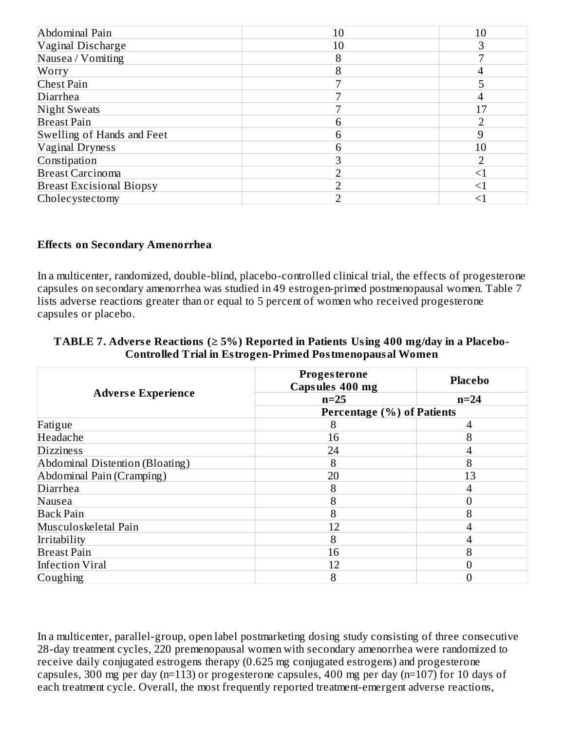| Abdominal Pain                  | 10 | 10     |
|---------------------------------|----|--------|
| Vaginal Discharge               | 10 | З      |
| Nausea / Vomiting               | 8  |        |
| Worry                           |    |        |
| <b>Chest Pain</b>               |    |        |
| Diarrhea                        |    |        |
| <b>Night Sweats</b>             |    | 17     |
| <b>Breast Pain</b>              |    |        |
| Swelling of Hands and Feet      | n  |        |
| <b>Vaginal Dryness</b>          | h  | 10     |
| Constipation                    |    |        |
| <b>Breast Carcinoma</b>         |    | $<\!1$ |
| <b>Breast Excisional Biopsy</b> |    | $<\!1$ |
| Cholecystectomy                 |    |        |

#### **Effects on Secondary Amenorrhea**

In a multicenter, randomized, double-blind, placebo-controlled clinical trial, the effects of progesterone capsules on secondary amenorrhea was studied in 49 estrogen-primed postmenopausal women. Table 7 lists adverse reactions greater than or equal to 5 percent of women who received progesterone capsules or placebo.

# **TABLE 7. Advers e Reactions (≥ 5%) Reported in Patients Using 400 mg/day in a Placebo-Controlled Trial in Estrogen-Primed Postmenopausal Women**

|                                 | <b>Progesterone</b><br>Capsules 400 mg | <b>Placebo</b> |
|---------------------------------|----------------------------------------|----------------|
| <b>Adverse Experience</b>       | $n=25$                                 | $n=24$         |
|                                 | <b>Percentage (%) of Patients</b>      |                |
| Fatigue                         | 8                                      | 4              |
| Headache                        | 16                                     | 8              |
| <b>Dizziness</b>                | 24                                     |                |
| Abdominal Distention (Bloating) | 8                                      | 8              |
| Abdominal Pain (Cramping)       | 20                                     | 13             |
| Diarrhea                        | 8                                      | 4              |
| Nausea                          | 8                                      | 0              |
| <b>Back Pain</b>                | 8                                      | 8              |
| Musculoskeletal Pain            | 12                                     | 4              |
| Irritability                    | 8                                      | 4              |
| <b>Breast Pain</b>              | 16                                     | 8              |
| <b>Infection Viral</b>          | 12                                     | 0              |
| Coughing                        | 8                                      |                |

In a multicenter, parallel-group, open label postmarketing dosing study consisting of three consecutive 28-day treatment cycles, 220 premenopausal women with secondary amenorrhea were randomized to receive daily conjugated estrogens therapy (0.625 mg conjugated estrogens) and progesterone capsules, 300 mg per day (n=113) or progesterone capsules, 400 mg per day (n=107) for 10 days of each treatment cycle. Overall, the most frequently reported treatment-emergent adverse reactions,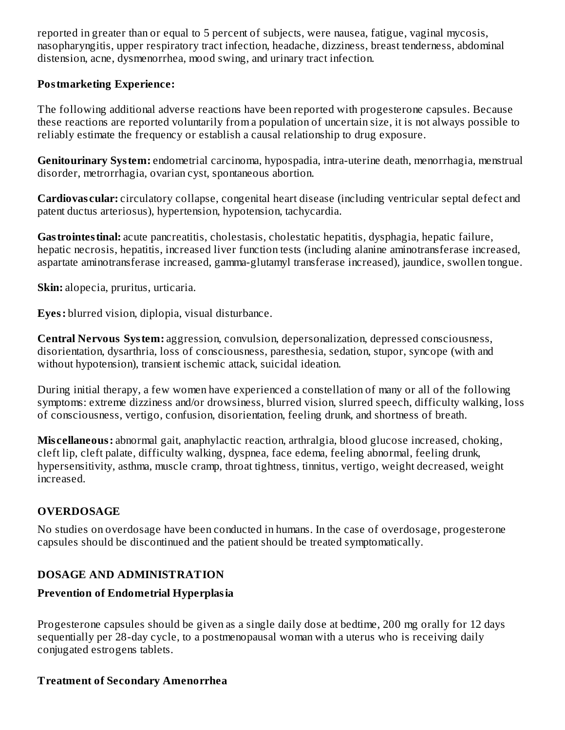reported in greater than or equal to 5 percent of subjects, were nausea, fatigue, vaginal mycosis, nasopharyngitis, upper respiratory tract infection, headache, dizziness, breast tenderness, abdominal distension, acne, dysmenorrhea, mood swing, and urinary tract infection.

#### **Postmarketing Experience:**

The following additional adverse reactions have been reported with progesterone capsules. Because these reactions are reported voluntarily from a population of uncertain size, it is not always possible to reliably estimate the frequency or establish a causal relationship to drug exposure.

**Genitourinary System:** endometrial carcinoma, hypospadia, intra-uterine death, menorrhagia, menstrual disorder, metrorrhagia, ovarian cyst, spontaneous abortion.

**Cardiovas cular:** circulatory collapse, congenital heart disease (including ventricular septal defect and patent ductus arteriosus), hypertension, hypotension, tachycardia.

**Gastrointestinal:** acute pancreatitis, cholestasis, cholestatic hepatitis, dysphagia, hepatic failure, hepatic necrosis, hepatitis, increased liver function tests (including alanine aminotransferase increased, aspartate aminotransferase increased, gamma-glutamyl transferase increased), jaundice, swollen tongue.

**Skin:** alopecia, pruritus, urticaria.

**Eyes:** blurred vision, diplopia, visual disturbance.

**Central Nervous System:** aggression, convulsion, depersonalization, depressed consciousness, disorientation, dysarthria, loss of consciousness, paresthesia, sedation, stupor, syncope (with and without hypotension), transient ischemic attack, suicidal ideation.

During initial therapy, a few women have experienced a constellation of many or all of the following symptoms: extreme dizziness and/or drowsiness, blurred vision, slurred speech, difficulty walking, loss of consciousness, vertigo, confusion, disorientation, feeling drunk, and shortness of breath.

**Mis cellaneous:** abnormal gait, anaphylactic reaction, arthralgia, blood glucose increased, choking, cleft lip, cleft palate, difficulty walking, dyspnea, face edema, feeling abnormal, feeling drunk, hypersensitivity, asthma, muscle cramp, throat tightness, tinnitus, vertigo, weight decreased, weight increased.

# **OVERDOSAGE**

No studies on overdosage have been conducted in humans. In the case of overdosage, progesterone capsules should be discontinued and the patient should be treated symptomatically.

# **DOSAGE AND ADMINISTRATION**

# **Prevention of Endometrial Hyperplasia**

Progesterone capsules should be given as a single daily dose at bedtime, 200 mg orally for 12 days sequentially per 28-day cycle, to a postmenopausal woman with a uterus who is receiving daily conjugated estrogens tablets.

# **Treatment of Secondary Amenorrhea**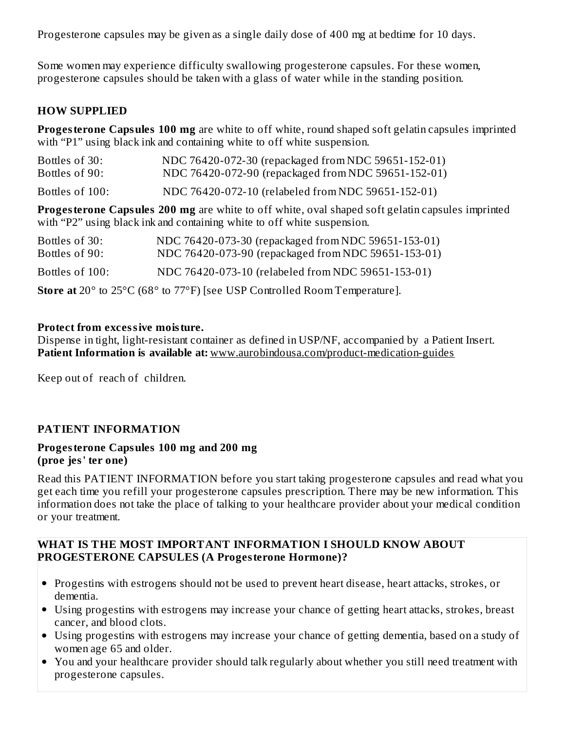Progesterone capsules may be given as a single daily dose of 400 mg at bedtime for 10 days.

Some women may experience difficulty swallowing progesterone capsules. For these women, progesterone capsules should be taken with a glass of water while in the standing position.

# **HOW SUPPLIED**

**Progesterone Capsules 100 mg** are white to off white, round shaped soft gelatin capsules imprinted with "P1" using black ink and containing white to off white suspension.

| Bottles of 30:  | NDC 76420-072-30 (repackaged from NDC 59651-152-01)                                                                                                                                |
|-----------------|------------------------------------------------------------------------------------------------------------------------------------------------------------------------------------|
| Bottles of 90:  | NDC 76420-072-90 (repackaged from NDC 59651-152-01)                                                                                                                                |
| Bottles of 100: | NDC 76420-072-10 (relabeled from NDC 59651-152-01)                                                                                                                                 |
|                 | <b>Progesterone Capsules 200 mg</b> are white to off white, oval shaped soft gelatin capsules imprinted<br>with "P2" using black ink and containing white to off white suspension. |
| Bottles of 30:  | NDC 76420-073-30 (repackaged from NDC 59651-153-01)                                                                                                                                |
| Bottles of 90:  | NDC 76420-073-90 (repackaged from NDC 59651-153-01)                                                                                                                                |

Bottles of 100: NDC 76420-073-10 (relabeled from NDC 59651-153-01)

**Store at** 20° to 25°C (68° to 77°F) [see USP Controlled Room Temperature].

#### **Protect from excessive moisture.**

Dispense in tight, light-resistant container as defined in USP/NF, accompanied by a Patient Insert. **Patient Information is available at:** www.aurobindousa.com/product-medication-guides

Keep out of reach of children.

# **PATIENT INFORMATION**

#### **Progesterone Capsules 100 mg and 200 mg (proe jes' ter one)**

Read this PATIENT INFORMATION before you start taking progesterone capsules and read what you get each time you refill your progesterone capsules prescription. There may be new information. This information does not take the place of talking to your healthcare provider about your medical condition or your treatment.

#### **WHAT IS THE MOST IMPORTANT INFORMATION I SHOULD KNOW ABOUT PROGESTERONE CAPSULES (A Progesterone Hormone)?**

- Progestins with estrogens should not be used to prevent heart disease, heart attacks, strokes, or dementia.
- Using progestins with estrogens may increase your chance of getting heart attacks, strokes, breast cancer, and blood clots.
- Using progestins with estrogens may increase your chance of getting dementia, based on a study of women age 65 and older.
- You and your healthcare provider should talk regularly about whether you still need treatment with progesterone capsules.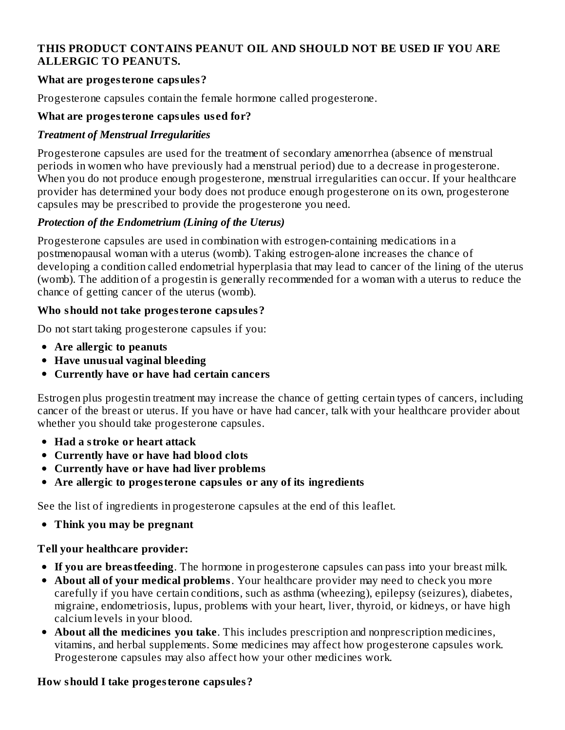# **THIS PRODUCT CONTAINS PEANUT OIL AND SHOULD NOT BE USED IF YOU ARE ALLERGIC TO PEANUTS.**

# **What are progesterone capsules?**

Progesterone capsules contain the female hormone called progesterone.

#### **What are progesterone capsules us ed for?**

#### *Treatment of Menstrual Irregularities*

Progesterone capsules are used for the treatment of secondary amenorrhea (absence of menstrual periods in women who have previously had a menstrual period) due to a decrease in progesterone. When you do not produce enough progesterone, menstrual irregularities can occur. If your healthcare provider has determined your body does not produce enough progesterone on its own, progesterone capsules may be prescribed to provide the progesterone you need.

# *Protection of the Endometrium (Lining of the Uterus)*

Progesterone capsules are used in combination with estrogen-containing medications in a postmenopausal woman with a uterus (womb). Taking estrogen-alone increases the chance of developing a condition called endometrial hyperplasia that may lead to cancer of the lining of the uterus (womb). The addition of a progestin is generally recommended for a woman with a uterus to reduce the chance of getting cancer of the uterus (womb).

#### **Who should not take progesterone capsules?**

Do not start taking progesterone capsules if you:

- **Are allergic to peanuts**
- **Have unusual vaginal bleeding**
- **Currently have or have had certain cancers**

Estrogen plus progestin treatment may increase the chance of getting certain types of cancers, including cancer of the breast or uterus. If you have or have had cancer, talk with your healthcare provider about whether you should take progesterone capsules.

- **Had a stroke or heart attack**
- **Currently have or have had blood clots**
- **Currently have or have had liver problems**
- **Are allergic to progesterone capsules or any of its ingredients**

See the list of ingredients in progesterone capsules at the end of this leaflet.

**Think you may be pregnant**

# **Tell your healthcare provider:**

- **If you are breastfeeding**. The hormone in progesterone capsules can pass into your breast milk.
- **About all of your medical problems**. Your healthcare provider may need to check you more carefully if you have certain conditions, such as asthma (wheezing), epilepsy (seizures), diabetes, migraine, endometriosis, lupus, problems with your heart, liver, thyroid, or kidneys, or have high calcium levels in your blood.
- **About all the medicines you take**. This includes prescription and nonprescription medicines, vitamins, and herbal supplements. Some medicines may affect how progesterone capsules work. Progesterone capsules may also affect how your other medicines work.

# **How should I take progesterone capsules?**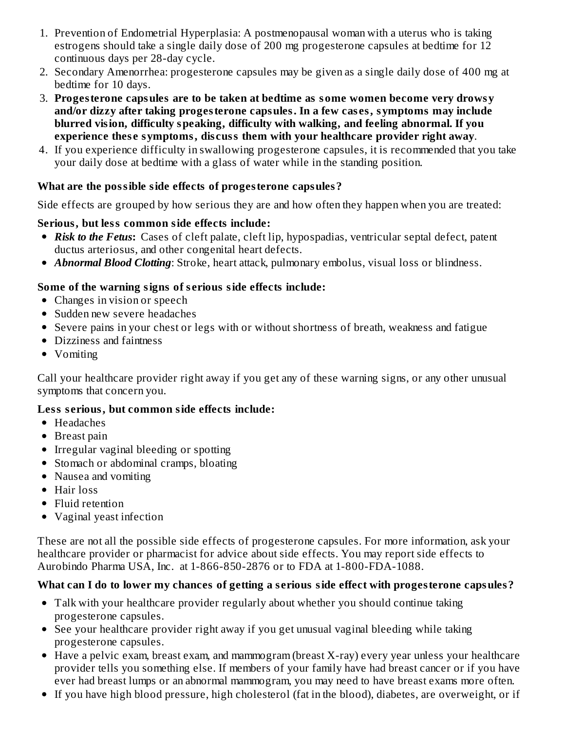- 1. Prevention of Endometrial Hyperplasia: A postmenopausal woman with a uterus who is taking estrogens should take a single daily dose of 200 mg progesterone capsules at bedtime for 12 continuous days per 28-day cycle.
- 2. Secondary Amenorrhea: progesterone capsules may be given as a single daily dose of 400 mg at bedtime for 10 days.
- 3. **Progesterone capsules are to be taken at bedtime as some women become very drowsy and/or dizzy after taking progesterone capsules. In a few cas es, symptoms may include blurred vision, difficulty speaking, difficulty with walking, and feeling abnormal. If you experience thes e symptoms, dis cuss them with your healthcare provider right away**.
- 4. If you experience difficulty in swallowing progesterone capsules, it is recommended that you take your daily dose at bedtime with a glass of water while in the standing position.

# **What are the possible side effects of progesterone capsules?**

Side effects are grouped by how serious they are and how often they happen when you are treated:

# **Serious, but less common side effects include:**

- *Risk to the Fetus***:** Cases of cleft palate, cleft lip, hypospadias, ventricular septal defect, patent ductus arteriosus, and other congenital heart defects.
- *Abnormal Blood Clotting*: Stroke, heart attack, pulmonary embolus, visual loss or blindness.

# **Some of the warning signs of s erious side effects include:**

- Changes in vision or speech
- Sudden new severe headaches
- Severe pains in your chest or legs with or without shortness of breath, weakness and fatigue
- Dizziness and faintness
- Vomiting

Call your healthcare provider right away if you get any of these warning signs, or any other unusual symptoms that concern you.

# **Less s erious, but common side effects include:**

- Headaches
- Breast pain
- Irregular vaginal bleeding or spotting
- Stomach or abdominal cramps, bloating
- Nausea and vomiting
- Hair loss
- Fluid retention
- Vaginal yeast infection

These are not all the possible side effects of progesterone capsules. For more information, ask your healthcare provider or pharmacist for advice about side effects. You may report side effects to Aurobindo Pharma USA, Inc. at 1-866-850-2876 or to FDA at 1-800-FDA-1088.

# **What can I do to lower my chances of getting a s erious side effect with progesterone capsules?**

- Talk with your healthcare provider regularly about whether you should continue taking progesterone capsules.
- See your healthcare provider right away if you get unusual vaginal bleeding while taking progesterone capsules.
- Have a pelvic exam, breast exam, and mammogram (breast X-ray) every year unless your healthcare provider tells you something else. If members of your family have had breast cancer or if you have ever had breast lumps or an abnormal mammogram, you may need to have breast exams more often.
- If you have high blood pressure, high cholesterol (fat in the blood), diabetes, are overweight, or if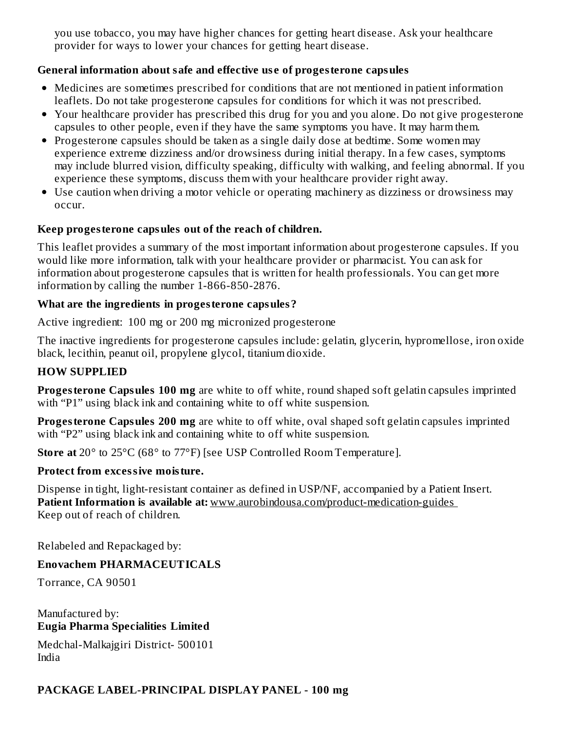you use tobacco, you may have higher chances for getting heart disease. Ask your healthcare provider for ways to lower your chances for getting heart disease.

# **General information about safe and effective us e of progesterone capsules**

- Medicines are sometimes prescribed for conditions that are not mentioned in patient information leaflets. Do not take progesterone capsules for conditions for which it was not prescribed.
- Your healthcare provider has prescribed this drug for you and you alone. Do not give progesterone capsules to other people, even if they have the same symptoms you have. It may harm them.
- Progesterone capsules should be taken as a single daily dose at bedtime. Some women may experience extreme dizziness and/or drowsiness during initial therapy. In a few cases, symptoms may include blurred vision, difficulty speaking, difficulty with walking, and feeling abnormal. If you experience these symptoms, discuss them with your healthcare provider right away.
- Use caution when driving a motor vehicle or operating machinery as dizziness or drowsiness may occur.

#### **Keep progesterone capsules out of the reach of children.**

This leaflet provides a summary of the most important information about progesterone capsules. If you would like more information, talk with your healthcare provider or pharmacist. You can ask for information about progesterone capsules that is written for health professionals. You can get more information by calling the number 1-866-850-2876.

#### **What are the ingredients in progesterone capsules?**

Active ingredient: 100 mg or 200 mg micronized progesterone

The inactive ingredients for progesterone capsules include: gelatin, glycerin, hypromellose, iron oxide black, lecithin, peanut oil, propylene glycol, titanium dioxide.

#### **HOW SUPPLIED**

**Progesterone Capsules 100 mg** are white to off white, round shaped soft gelatin capsules imprinted with "P1" using black ink and containing white to off white suspension.

**Progesterone Capsules 200 mg** are white to off white, oval shaped soft gelatin capsules imprinted with "P2" using black ink and containing white to off white suspension.

**Store at** 20° to 25°C (68° to 77°F) [see USP Controlled Room Temperature].

# **Protect from excessive moisture.**

Dispense in tight, light-resistant container as defined in USP/NF, accompanied by a Patient Insert. **Patient Information is available at:** www.aurobindousa.com/product-medication-guides Keep out of reach of children.

Relabeled and Repackaged by:

# **Enovachem PHARMACEUTICALS**

Torrance, CA 90501

Manufactured by: **Eugia Pharma Specialities Limited**

Medchal-Malkajgiri District- 500101 India

# **PACKAGE LABEL-PRINCIPAL DISPLAY PANEL - 100 mg**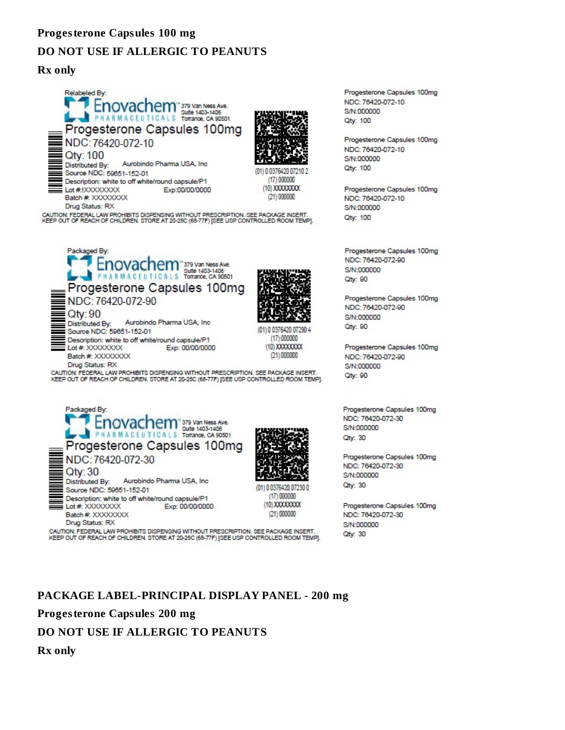#### **Progesterone Capsules 100 mg**

#### **DO NOT USE IF ALLERGIC TO PEANUTS**

#### **Rx only**





(01) 0.0376420.07210.2 (17) 000000 (10) XXXXXXXX  $(21) 000000$ 

CAUTION: FEDERAL LAW PROHIBITS DISPENSING WITHOUT PRESCRIPTION. SEE PACKAGE INSERT.<br>KEEP OUT OF REACH OF CHILDREN. STORE AT 20-25C (68-77F) [SEE USP CONTROLLED ROOM TEMP].







(01) 0 0376420 07230 0  $(17) 000000$ (10) XXXXXXXX  $(21) 000000$ 

CAUTION: FEDERAL LAW PROHIBITS DISPENSING WITHOUT PRESCRIPTION. SEE PACKAGE INSERT. KEEP OUT OF REACH OF CHILDREN. STORE AT 20-25C (68-77F) [SEE USP CONTROLLED ROOM TEMP].

Progesterone Capsules 100mg NDC: 76420-072-10 S/N:000000 Qty: 100

Progesterone Capsules 100mg NDC: 76420-072-10 S/N:000000 Qty: 100

Progesterone Capsules 100mg NDC: 76420-072-10 S/N:000000 Qtv: 100

Progesterone Capsules 100mg NDC: 76420-072-90 S/N:000000 Qty: 90

Progesterone Capsules 100mg NDC: 76420-072-90 S/N:000000 Qty: 90

Progesterone Capsules 100mg NDC: 76420-072-90 S/N:000000 Qty: 90

Progesterone Capsules 100mg NDC: 76420-072-30 S/N:000000 Qty: 30

Progesterone Capsules 100mg NDC: 76420-072-30 S/N:000000 **Qtv: 30** 

Progesterone Capsules 100mg NDC: 76420-072-30 S/N:000000 Otv: 30

#### **PACKAGE LABEL-PRINCIPAL DISPLAY PANEL - 200 mg**

**Progesterone Capsules 200 mg**

#### **DO NOT USE IF ALLERGIC TO PEANUTS**

**Rx only**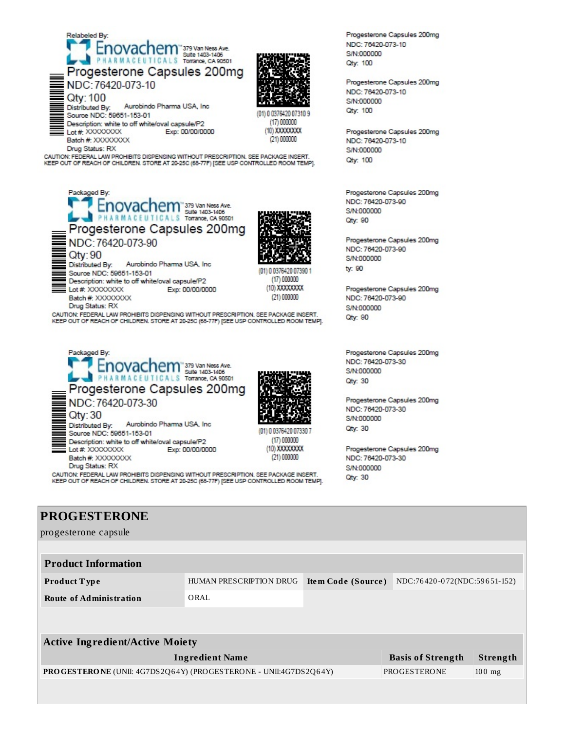



(21) 000000

KEEP OUT OF REACH OF CHILDREN. STORE AT 20-25C (68-77F) [SEE USP CONTROLLED ROOM TEMP].

Progesterone Capsules 200mg NDC: 76420-073-90 Qty: 90 Aurobindo Pharma USA, Inc. Distributed By:

Description: white to off white/oval capsule/P2



(01) 0 0376420 07390  $(17) 000000$ (10) XXXXXXXXX  $(21) 000000$ 

(01) 0 0376420 07330 7

 $(17) 000000$ 

(10) XXXXXXXX

 $(21) 000000$ 

Drug Status: RX CAUTION: FEDERAL LAW PROHIBITS DISPENSING WITHOUT PRESCRIPTION. SEE PACKAGE INSERT. KEEP OUT OF REACH OF CHILDREN. STORE AT 20-25C (68-77F) [SEE USP CONTROLLED ROOM TEMP].

Exp: 00/00/0000



Drug Status: RX

Source NDC: 59651-153-01

Lot #: XXXXXXXXX

Batch #: XXXXXXXX

CAUTION: FEDERAL LAW PROHIBITS DISPENSING WITHOUT PRESCRIPTION. SEE PACKAGE INSERT.<br>KEEP OUT OF REACH OF CHILDREN. STORE AT 20-25C (68-77F) [SEE USP CONTROLLED ROOM TEMP].

Progesterone Capsules 200mg NDC: 76420-073-10 S/N:000000 Qtv: 100

Progesterone Capsules 200mg NDC: 76420-073-10 S/N:000000 **Qty: 100** 

Progesterone Capsules 200mg NDC: 76420-073-10 S/N:000000 **Qty: 100** 

Progesterone Capsules 200mg NDC: 76420-073-90 S/N:000000 Oty: 90

Progesterone Capsules 200mg NDC: 76420-073-90 S/N:000000 tv: 90

Progesterone Capsules 200mg NDC: 76420-073-90 S/N:000000 Qty: 90

Progesterone Capsules 200mg NDC: 76420-073-30 S/N:000000 **Qty: 30** 

Progesterone Capsules 200mg NDC: 76420-073-30 S/N:000000 Qty: 30

Progesterone Capsules 200mg NDC: 76420-073-30 S/N:000000 **Qty: 30** 

# **PROGESTERONE**

progesterone capsule

| <b>Product Information</b>                                              |                         |                    |                              |          |
|-------------------------------------------------------------------------|-------------------------|--------------------|------------------------------|----------|
| Product Type                                                            | HUMAN PRESCRIPTION DRUG | Item Code (Source) | NDC:76420-072(NDC:59651-152) |          |
| <b>Route of Administration</b>                                          | ORAL                    |                    |                              |          |
|                                                                         |                         |                    |                              |          |
|                                                                         |                         |                    |                              |          |
| <b>Active Ingredient/Active Moiety</b>                                  |                         |                    |                              |          |
|                                                                         | <b>Ingredient Name</b>  |                    | <b>Basis of Strength</b>     | Strength |
| <b>PROGESTERONE</b> (UNII: 4G7DS2Q64Y) (PROGESTERONE - UNII:4G7DS2Q64Y) |                         |                    | PROGESTERONE                 | $100$ mg |
|                                                                         |                         |                    |                              |          |
|                                                                         |                         |                    |                              |          |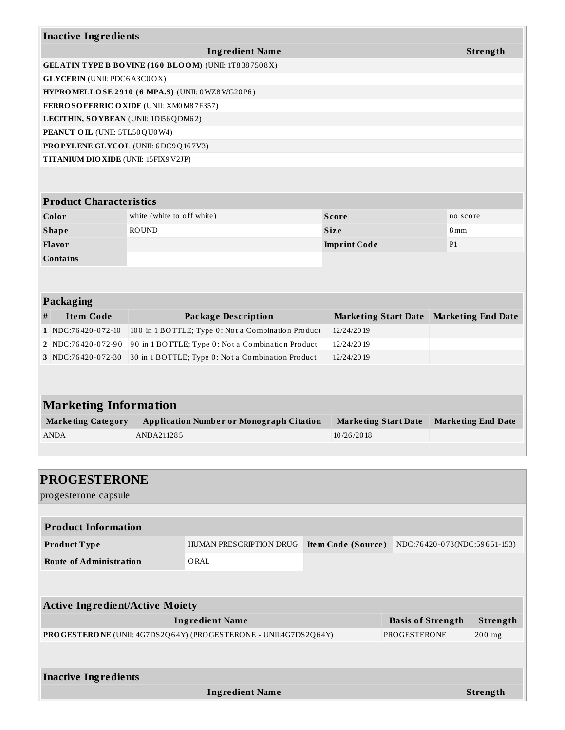|                                                                                         | <b>Ingredient Name</b>                                      |                             | Strength                  |
|-----------------------------------------------------------------------------------------|-------------------------------------------------------------|-----------------------------|---------------------------|
|                                                                                         |                                                             |                             |                           |
| <b>GLYCERIN</b> (UNII: PDC6A3C0OX)                                                      | <b>GELATIN TYPE B BOVINE (160 BLOOM) (UNII: 1T8387508X)</b> |                             |                           |
|                                                                                         | HYPROMELLOSE 2910 (6 MPA.S) (UNII: 0WZ8WG20P6)              |                             |                           |
|                                                                                         | FERROSOFERRIC OXIDE (UNII: XM0M87F357)                      |                             |                           |
|                                                                                         | LECITHIN, SOYBEAN (UNII: 1DI56QDM62)                        |                             |                           |
| PEANUT OIL (UNII: 5TL50QU0W4)                                                           |                                                             |                             |                           |
|                                                                                         | <b>PROPYLENE GLYCOL</b> (UNII: 6DC9Q167V3)                  |                             |                           |
| TITANIUM DIO XIDE (UNII: 15FIX9 V2JP)                                                   |                                                             |                             |                           |
|                                                                                         |                                                             |                             |                           |
|                                                                                         |                                                             |                             |                           |
| <b>Product Characteristics</b>                                                          |                                                             |                             |                           |
| Color                                                                                   | white (white to off white)                                  | <b>Score</b>                | no score                  |
| <b>Shape</b>                                                                            | <b>ROUND</b>                                                | <b>Size</b>                 | 8 mm                      |
| Flavor                                                                                  |                                                             | <b>Imprint Code</b>         | P <sub>1</sub>            |
|                                                                                         |                                                             |                             |                           |
| <b>Contains</b>                                                                         |                                                             |                             |                           |
|                                                                                         |                                                             |                             |                           |
|                                                                                         |                                                             |                             |                           |
|                                                                                         |                                                             |                             |                           |
| <b>Item Code</b>                                                                        | <b>Package Description</b>                                  | <b>Marketing Start Date</b> | <b>Marketing End Date</b> |
|                                                                                         | 100 in 1 BOTTLE; Type 0: Not a Combination Product          | 12/24/2019                  |                           |
|                                                                                         | 90 in 1 BOTTLE; Type 0: Not a Combination Product           | 12/24/2019                  |                           |
| <b>Packaging</b><br>#<br>1 NDC:76420-072-10<br>2 NDC:76420-072-90<br>3 NDC:76420-072-30 | 30 in 1 BOTTLE; Type 0: Not a Combination Product           | 12/24/2019                  |                           |
|                                                                                         |                                                             |                             |                           |
|                                                                                         |                                                             |                             |                           |
| <b>Marketing Information</b>                                                            |                                                             |                             |                           |
| <b>Marketing Category</b>                                                               | <b>Application Number or Monograph Citation</b>             | <b>Marketing Start Date</b> |                           |
|                                                                                         | ANDA211285                                                  | 10/26/2018                  | <b>Marketing End Date</b> |
|                                                                                         |                                                             |                             |                           |
| ANDA                                                                                    |                                                             |                             |                           |
| <b>PROGESTERONE</b>                                                                     |                                                             |                             |                           |

| <b>Product Information</b> |                         |                    |                              |
|----------------------------|-------------------------|--------------------|------------------------------|
| Product Type               | HUMAN PRESCRIPTION DRUG | Item Code (Source) | NDC:76420-073(NDC:59651-153) |
| Route of Administration    | ORAL                    |                    |                              |
|                            |                         |                    |                              |

| <b>Active Ingredient/Active Moiety</b>                           |                          |          |  |  |  |
|------------------------------------------------------------------|--------------------------|----------|--|--|--|
| <b>Ingredient Name</b>                                           | <b>Basis of Strength</b> | Strength |  |  |  |
| PROGESTERONE (UNII: 4G7DS2Q64Y) (PROGESTERONE - UNII:4G7DS2Q64Y) | PROGESTERONE             | $200$ mg |  |  |  |
|                                                                  |                          |          |  |  |  |
| <b>Inactive Ingredients</b>                                      |                          |          |  |  |  |
|                                                                  |                          |          |  |  |  |
| <b>Ingredient Name</b>                                           |                          | Strength |  |  |  |